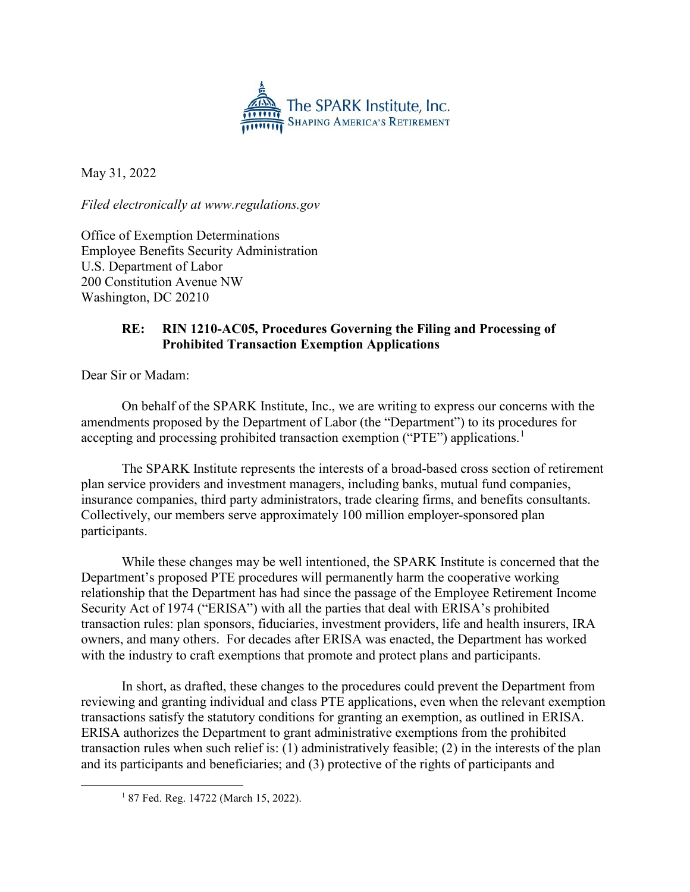

May 31, 2022

*Filed electronically at www.regulations.gov*

Office of Exemption Determinations Employee Benefits Security Administration U.S. Department of Labor 200 Constitution Avenue NW Washington, DC 20210

## **RE: RIN 1210-AC05, Procedures Governing the Filing and Processing of Prohibited Transaction Exemption Applications**

Dear Sir or Madam:

On behalf of the SPARK Institute, Inc., we are writing to express our concerns with the amendments proposed by the Department of Labor (the "Department") to its procedures for accepting and processing prohibited transaction exemption ("PTE") applications.<sup>[1](#page-0-0)</sup>

The SPARK Institute represents the interests of a broad-based cross section of retirement plan service providers and investment managers, including banks, mutual fund companies, insurance companies, third party administrators, trade clearing firms, and benefits consultants. Collectively, our members serve approximately 100 million employer-sponsored plan participants.

While these changes may be well intentioned, the SPARK Institute is concerned that the Department's proposed PTE procedures will permanently harm the cooperative working relationship that the Department has had since the passage of the Employee Retirement Income Security Act of 1974 ("ERISA") with all the parties that deal with ERISA's prohibited transaction rules: plan sponsors, fiduciaries, investment providers, life and health insurers, IRA owners, and many others. For decades after ERISA was enacted, the Department has worked with the industry to craft exemptions that promote and protect plans and participants.

In short, as drafted, these changes to the procedures could prevent the Department from reviewing and granting individual and class PTE applications, even when the relevant exemption transactions satisfy the statutory conditions for granting an exemption, as outlined in ERISA. ERISA authorizes the Department to grant administrative exemptions from the prohibited transaction rules when such relief is: (1) administratively feasible; (2) in the interests of the plan and its participants and beneficiaries; and (3) protective of the rights of participants and

<span id="page-0-0"></span><sup>&</sup>lt;sup>1</sup> 87 Fed. Reg. 14722 (March 15, 2022).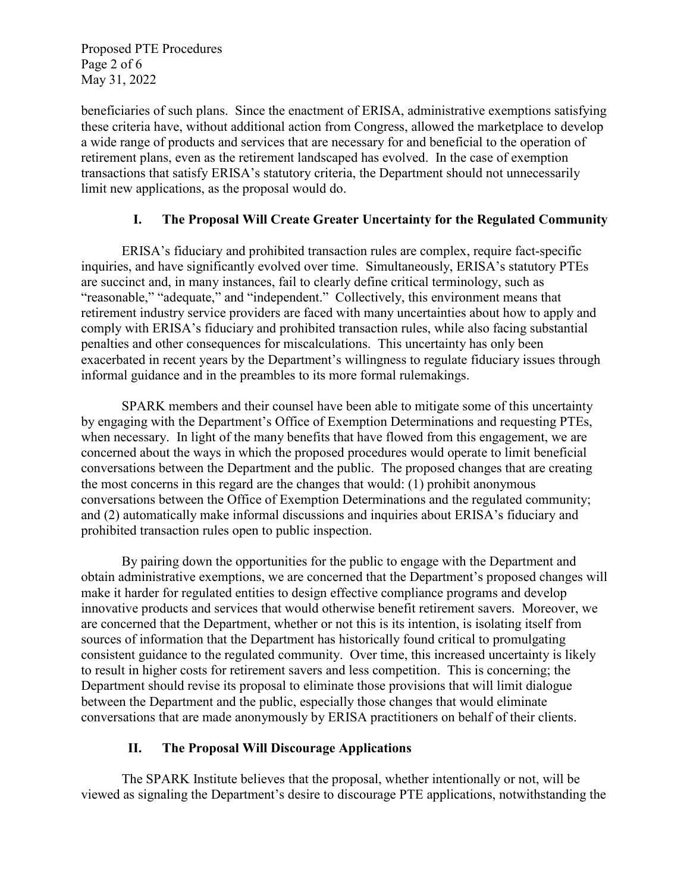Proposed PTE Procedures Page 2 of 6 May 31, 2022

beneficiaries of such plans. Since the enactment of ERISA, administrative exemptions satisfying these criteria have, without additional action from Congress, allowed the marketplace to develop a wide range of products and services that are necessary for and beneficial to the operation of retirement plans, even as the retirement landscaped has evolved. In the case of exemption transactions that satisfy ERISA's statutory criteria, the Department should not unnecessarily limit new applications, as the proposal would do.

### **I. The Proposal Will Create Greater Uncertainty for the Regulated Community**

ERISA's fiduciary and prohibited transaction rules are complex, require fact-specific inquiries, and have significantly evolved over time. Simultaneously, ERISA's statutory PTEs are succinct and, in many instances, fail to clearly define critical terminology, such as "reasonable," "adequate," and "independent." Collectively, this environment means that retirement industry service providers are faced with many uncertainties about how to apply and comply with ERISA's fiduciary and prohibited transaction rules, while also facing substantial penalties and other consequences for miscalculations. This uncertainty has only been exacerbated in recent years by the Department's willingness to regulate fiduciary issues through informal guidance and in the preambles to its more formal rulemakings.

SPARK members and their counsel have been able to mitigate some of this uncertainty by engaging with the Department's Office of Exemption Determinations and requesting PTEs, when necessary. In light of the many benefits that have flowed from this engagement, we are concerned about the ways in which the proposed procedures would operate to limit beneficial conversations between the Department and the public. The proposed changes that are creating the most concerns in this regard are the changes that would: (1) prohibit anonymous conversations between the Office of Exemption Determinations and the regulated community; and (2) automatically make informal discussions and inquiries about ERISA's fiduciary and prohibited transaction rules open to public inspection.

By pairing down the opportunities for the public to engage with the Department and obtain administrative exemptions, we are concerned that the Department's proposed changes will make it harder for regulated entities to design effective compliance programs and develop innovative products and services that would otherwise benefit retirement savers. Moreover, we are concerned that the Department, whether or not this is its intention, is isolating itself from sources of information that the Department has historically found critical to promulgating consistent guidance to the regulated community. Over time, this increased uncertainty is likely to result in higher costs for retirement savers and less competition. This is concerning; the Department should revise its proposal to eliminate those provisions that will limit dialogue between the Department and the public, especially those changes that would eliminate conversations that are made anonymously by ERISA practitioners on behalf of their clients.

### **II. The Proposal Will Discourage Applications**

The SPARK Institute believes that the proposal, whether intentionally or not, will be viewed as signaling the Department's desire to discourage PTE applications, notwithstanding the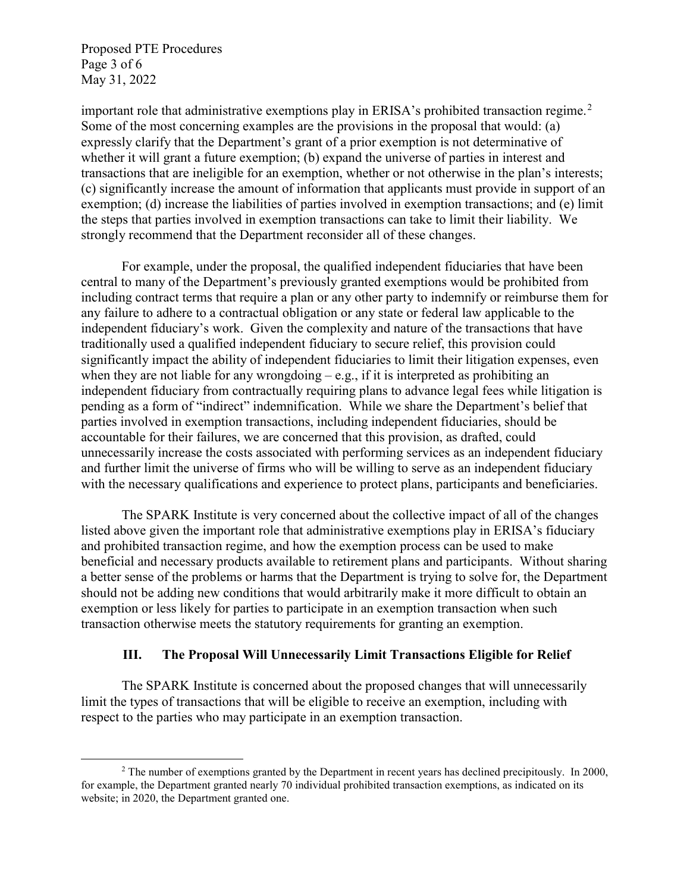Proposed PTE Procedures Page 3 of 6 May 31, 2022

important role that administrative exemptions play in ERISA's prohibited transaction regime.<sup>[2](#page-2-0)</sup> Some of the most concerning examples are the provisions in the proposal that would: (a) expressly clarify that the Department's grant of a prior exemption is not determinative of whether it will grant a future exemption; (b) expand the universe of parties in interest and transactions that are ineligible for an exemption, whether or not otherwise in the plan's interests; (c) significantly increase the amount of information that applicants must provide in support of an exemption; (d) increase the liabilities of parties involved in exemption transactions; and (e) limit the steps that parties involved in exemption transactions can take to limit their liability. We strongly recommend that the Department reconsider all of these changes.

For example, under the proposal, the qualified independent fiduciaries that have been central to many of the Department's previously granted exemptions would be prohibited from including contract terms that require a plan or any other party to indemnify or reimburse them for any failure to adhere to a contractual obligation or any state or federal law applicable to the independent fiduciary's work. Given the complexity and nature of the transactions that have traditionally used a qualified independent fiduciary to secure relief, this provision could significantly impact the ability of independent fiduciaries to limit their litigation expenses, even when they are not liable for any wrongdoing – e.g., if it is interpreted as prohibiting an independent fiduciary from contractually requiring plans to advance legal fees while litigation is pending as a form of "indirect" indemnification. While we share the Department's belief that parties involved in exemption transactions, including independent fiduciaries, should be accountable for their failures, we are concerned that this provision, as drafted, could unnecessarily increase the costs associated with performing services as an independent fiduciary and further limit the universe of firms who will be willing to serve as an independent fiduciary with the necessary qualifications and experience to protect plans, participants and beneficiaries.

The SPARK Institute is very concerned about the collective impact of all of the changes listed above given the important role that administrative exemptions play in ERISA's fiduciary and prohibited transaction regime, and how the exemption process can be used to make beneficial and necessary products available to retirement plans and participants. Without sharing a better sense of the problems or harms that the Department is trying to solve for, the Department should not be adding new conditions that would arbitrarily make it more difficult to obtain an exemption or less likely for parties to participate in an exemption transaction when such transaction otherwise meets the statutory requirements for granting an exemption.

#### **III. The Proposal Will Unnecessarily Limit Transactions Eligible for Relief**

The SPARK Institute is concerned about the proposed changes that will unnecessarily limit the types of transactions that will be eligible to receive an exemption, including with respect to the parties who may participate in an exemption transaction.

<span id="page-2-0"></span><sup>&</sup>lt;sup>2</sup> The number of exemptions granted by the Department in recent years has declined precipitously. In 2000, for example, the Department granted nearly 70 individual prohibited transaction exemptions, as indicated on its website; in 2020, the Department granted one.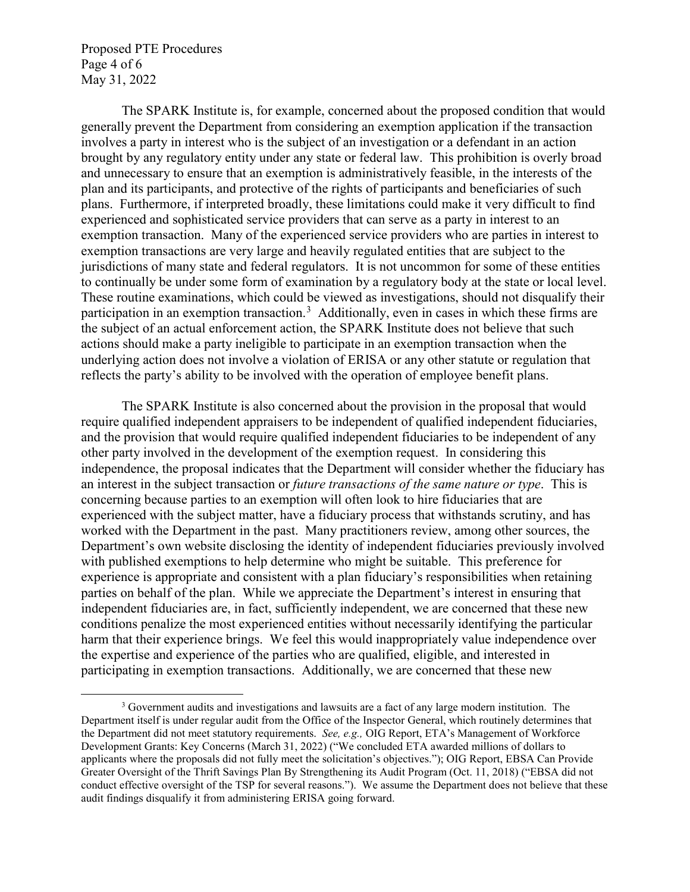Proposed PTE Procedures Page 4 of 6 May 31, 2022

The SPARK Institute is, for example, concerned about the proposed condition that would generally prevent the Department from considering an exemption application if the transaction involves a party in interest who is the subject of an investigation or a defendant in an action brought by any regulatory entity under any state or federal law. This prohibition is overly broad and unnecessary to ensure that an exemption is administratively feasible, in the interests of the plan and its participants, and protective of the rights of participants and beneficiaries of such plans. Furthermore, if interpreted broadly, these limitations could make it very difficult to find experienced and sophisticated service providers that can serve as a party in interest to an exemption transaction. Many of the experienced service providers who are parties in interest to exemption transactions are very large and heavily regulated entities that are subject to the jurisdictions of many state and federal regulators. It is not uncommon for some of these entities to continually be under some form of examination by a regulatory body at the state or local level. These routine examinations, which could be viewed as investigations, should not disqualify their participation in an exemption transaction.<sup>[3](#page-3-0)</sup> Additionally, even in cases in which these firms are the subject of an actual enforcement action, the SPARK Institute does not believe that such actions should make a party ineligible to participate in an exemption transaction when the underlying action does not involve a violation of ERISA or any other statute or regulation that reflects the party's ability to be involved with the operation of employee benefit plans.

The SPARK Institute is also concerned about the provision in the proposal that would require qualified independent appraisers to be independent of qualified independent fiduciaries, and the provision that would require qualified independent fiduciaries to be independent of any other party involved in the development of the exemption request. In considering this independence, the proposal indicates that the Department will consider whether the fiduciary has an interest in the subject transaction or *future transactions of the same nature or type*. This is concerning because parties to an exemption will often look to hire fiduciaries that are experienced with the subject matter, have a fiduciary process that withstands scrutiny, and has worked with the Department in the past. Many practitioners review, among other sources, the Department's own website disclosing the identity of independent fiduciaries previously involved with published exemptions to help determine who might be suitable. This preference for experience is appropriate and consistent with a plan fiduciary's responsibilities when retaining parties on behalf of the plan. While we appreciate the Department's interest in ensuring that independent fiduciaries are, in fact, sufficiently independent, we are concerned that these new conditions penalize the most experienced entities without necessarily identifying the particular harm that their experience brings. We feel this would inappropriately value independence over the expertise and experience of the parties who are qualified, eligible, and interested in participating in exemption transactions. Additionally, we are concerned that these new

<span id="page-3-0"></span> $3$  Government audits and investigations and lawsuits are a fact of any large modern institution. The Department itself is under regular audit from the Office of the Inspector General, which routinely determines that the Department did not meet statutory requirements. *See, e.g.,* OIG Report, ETA's Management of Workforce Development Grants: Key Concerns (March 31, 2022) ("We concluded ETA awarded millions of dollars to applicants where the proposals did not fully meet the solicitation's objectives."); OIG Report, EBSA Can Provide Greater Oversight of the Thrift Savings Plan By Strengthening its Audit Program (Oct. 11, 2018) ("EBSA did not conduct effective oversight of the TSP for several reasons."). We assume the Department does not believe that these audit findings disqualify it from administering ERISA going forward.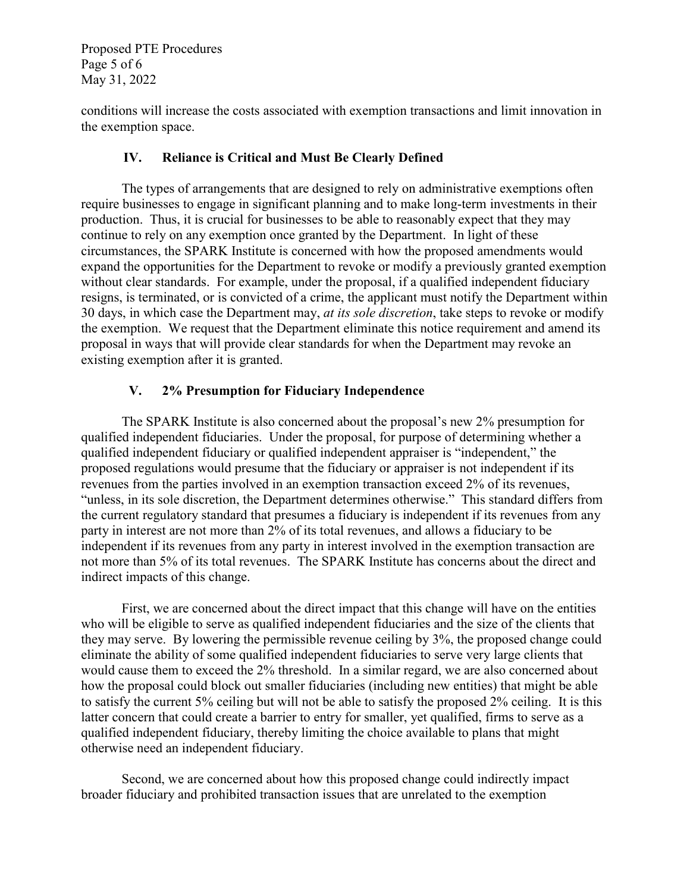Proposed PTE Procedures Page 5 of 6 May 31, 2022

conditions will increase the costs associated with exemption transactions and limit innovation in the exemption space.

## **IV. Reliance is Critical and Must Be Clearly Defined**

The types of arrangements that are designed to rely on administrative exemptions often require businesses to engage in significant planning and to make long-term investments in their production. Thus, it is crucial for businesses to be able to reasonably expect that they may continue to rely on any exemption once granted by the Department. In light of these circumstances, the SPARK Institute is concerned with how the proposed amendments would expand the opportunities for the Department to revoke or modify a previously granted exemption without clear standards. For example, under the proposal, if a qualified independent fiduciary resigns, is terminated, or is convicted of a crime, the applicant must notify the Department within 30 days, in which case the Department may, *at its sole discretion*, take steps to revoke or modify the exemption. We request that the Department eliminate this notice requirement and amend its proposal in ways that will provide clear standards for when the Department may revoke an existing exemption after it is granted.

# **V. 2% Presumption for Fiduciary Independence**

The SPARK Institute is also concerned about the proposal's new 2% presumption for qualified independent fiduciaries. Under the proposal, for purpose of determining whether a qualified independent fiduciary or qualified independent appraiser is "independent," the proposed regulations would presume that the fiduciary or appraiser is not independent if its revenues from the parties involved in an exemption transaction exceed 2% of its revenues, "unless, in its sole discretion, the Department determines otherwise." This standard differs from the current regulatory standard that presumes a fiduciary is independent if its revenues from any party in interest are not more than 2% of its total revenues, and allows a fiduciary to be independent if its revenues from any party in interest involved in the exemption transaction are not more than 5% of its total revenues. The SPARK Institute has concerns about the direct and indirect impacts of this change.

First, we are concerned about the direct impact that this change will have on the entities who will be eligible to serve as qualified independent fiduciaries and the size of the clients that they may serve. By lowering the permissible revenue ceiling by 3%, the proposed change could eliminate the ability of some qualified independent fiduciaries to serve very large clients that would cause them to exceed the 2% threshold. In a similar regard, we are also concerned about how the proposal could block out smaller fiduciaries (including new entities) that might be able to satisfy the current 5% ceiling but will not be able to satisfy the proposed 2% ceiling. It is this latter concern that could create a barrier to entry for smaller, yet qualified, firms to serve as a qualified independent fiduciary, thereby limiting the choice available to plans that might otherwise need an independent fiduciary.

Second, we are concerned about how this proposed change could indirectly impact broader fiduciary and prohibited transaction issues that are unrelated to the exemption